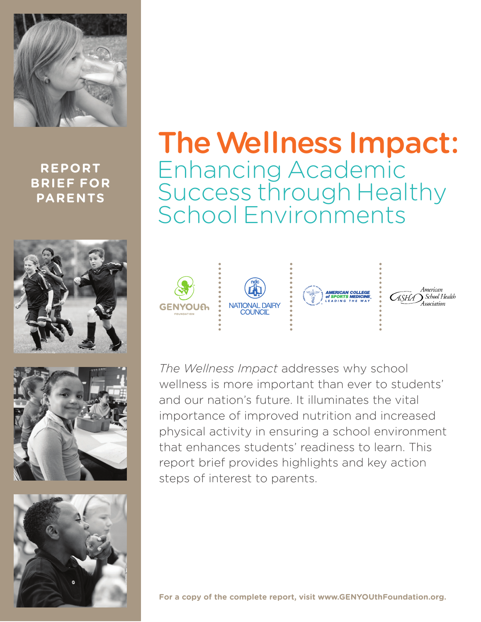

### **REPORT BRIEF FOR PARENTS**







# Enhancing Academic Success through Healthy School Environments Enhancing Academic



*The Wellness Impact* addresses why school wellness is more important than ever to students' and our nation's future. It illuminates the vital importance of improved nutrition and increased physical activity in ensuring a school environment that enhances students' readiness to learn. This report brief provides highlights and key action steps of interest to parents.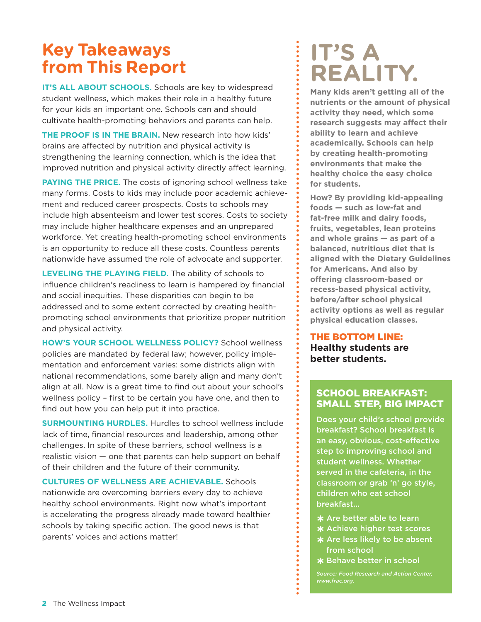### **Key Takeaways from This Report**

**IT'S ALL ABOUT SCHOOLS.** Schools are key to widespread student wellness, which makes their role in a healthy future for your kids an important one. Schools can and should cultivate health-promoting behaviors and parents can help.

**THE PROOF IS IN THE BRAIN.** New research into how kids' brains are affected by nutrition and physical activity is strengthening the learning connection, which is the idea that improved nutrition and physical activity directly affect learning.

**PAYING THE PRICE.** The costs of ignoring school wellness take many forms. Costs to kids may include poor academic achievement and reduced career prospects. Costs to schools may include high absenteeism and lower test scores. Costs to society may include higher healthcare expenses and an unprepared workforce. Yet creating health-promoting school environments is an opportunity to reduce all these costs. Countless parents nationwide have assumed the role of advocate and supporter.

**LEVELING THE PLAYING FIELD.** The ability of schools to influence children's readiness to learn is hampered by financial and social inequities. These disparities can begin to be addressed and to some extent corrected by creating healthpromoting school environments that prioritize proper nutrition and physical activity.

**HOW'S YOUR SCHOOL WELLNESS POLICY?** School wellness policies are mandated by federal law; however, policy implementation and enforcement varies: some districts align with national recommendations, some barely align and many don't align at all. Now is a great time to find out about your school's wellness policy – first to be certain you have one, and then to find out how you can help put it into practice.

**SURMOUNTING HURDLES.** Hurdles to school wellness include lack of time, financial resources and leadership, among other challenges. In spite of these barriers, school wellness is a realistic vision — one that parents can help support on behalf of their children and the future of their community.

**CULTURES OF WELLNESS ARE ACHIEVABLE.** Schools nationwide are overcoming barriers every day to achieve healthy school environments. Right now what's important is accelerating the progress already made toward healthier schools by taking specific action. The good news is that parents' voices and actions matter!

# **IT'S A REALITY.**

**Many kids aren't getting all of the nutrients or the amount of physical activity they need, which some research suggests may affect their ability to learn and achieve academically. Schools can help by creating health-promoting environments that make the healthy choice the easy choice for students.** 

**How? By providing kid-appealing foods — such as low-fat and fat-free milk and dairy foods, fruits, vegetables, lean proteins and whole grains — as part of a balanced, nutritious diet that is aligned with the Dietary Guidelines for Americans. And also by offering classroom-based or recess-based physical activity, before/after school physical activity options as well as regular physical education classes.** 

#### THE BOTTOM LINE:

**Healthy students are better students.**

#### SCHOOL BREAKFAST: SMALL STEP, BIG IMPACT

Does your child's school provide breakfast? School breakfast is an easy, obvious, cost-effective step to improving school and student wellness. Whether served in the cafeteria, in the classroom or grab 'n' go style, children who eat school breakfast...

- **\*** Are better able to learn<br>**\*** Achieve higher test scores
- **\*** Achieve higher test scores<br>**\*** Are less likely to be absent
- **\*** Are less likely to be absent from school
- **\*** Behave better in school

*Source: Food Research and Action Center, www.frac.org.*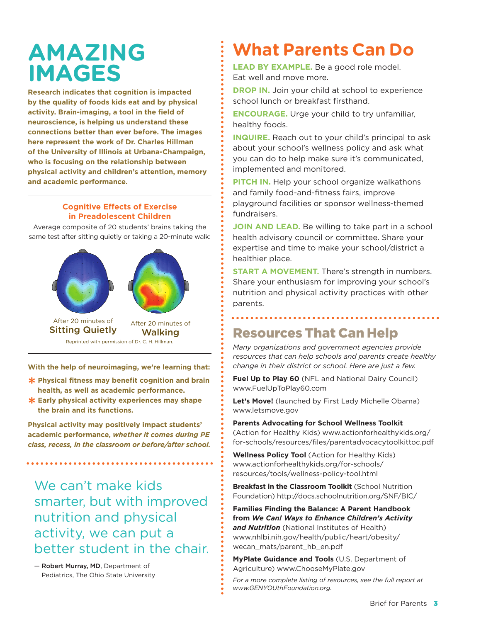## **AMAZING IMAGES**

**Research indicates that cognition is impacted by the quality of foods kids eat and by physical activity. Brain-imaging, a tool in the field of neuroscience, is helping us understand these connections better than ever before. The images here represent the work of Dr. Charles Hillman of the University of Illinois at Urbana-Champaign, who is focusing on the relationship between physical activity and children's attention, memory and academic performance.**

#### **Cognitive Effects of Exercise in Preadolescent Children**

Average composite of 20 students' brains taking the same test after sitting quietly or taking a 20-minute walk:



**With the help of neuroimaging, we're learning that:**

- **\* Physical fitness may benefit cognition and brain health, as well as academic performance.**
- **\* Early physical activity experiences may shape the brain and its functions.**

**Physical activity may positively impact students' academic performance,** *whether it comes during PE class, recess, in the classroom or before/after school.*

We can't make kids smarter, but with improved nutrition and physical activity, we can put a better student in the chair.

— Robert Murray, MD, Department of Pediatrics, The Ohio State University

## **What Parents Can Do**

**LEAD BY EXAMPLE.** Be a good role model. Eat well and move more.

**DROP IN.** Join your child at school to experience school lunch or breakfast firsthand.

**ENCOURAGE.** Urge your child to try unfamiliar. healthy foods.

**INQUIRE.** Reach out to your child's principal to ask about your school's wellness policy and ask what you can do to help make sure it's communicated, implemented and monitored.

**PITCH IN.** Help your school organize walkathons and family food-and-fitness fairs, improve playground facilities or sponsor wellness-themed fundraisers.

**JOIN AND LEAD.** Be willing to take part in a school health advisory council or committee. Share your expertise and time to make your school/district a healthier place.

**START A MOVEMENT.** There's strength in numbers. Share your enthusiasm for improving your school's nutrition and physical activity practices with other parents.

### Resources That Can Help

*Many organizations and government agencies provide resources that can help schools and parents create healthy change in their district or school. Here are just a few.*

**Fuel Up to Play 60** (NFL and National Dairy Council) <www.FuelUpToPlay60.com>

**Let's Move!** (launched by First Lady Michelle Obama) <www.letsmove.gov>

**Parents Advocating for School Wellness Toolkit**  (Action for Healthy Kids) www.actionforhealthykids.org/ [for-schools/resources/files/parentadvocacytoolkittoc.pdf](www.actionforhealthykids.org/for-schools/resources/%EF%AC%81les/parentadvocacytoolkittoc.pdf) 

**Wellness Policy Tool** (Action for Healthy Kids) [www.actionforhealthykids.org/for-schools/](www.actionforhealthykids.org/for-schools/resources/tools/wellness-policy-tool.html) resources/tools/wellness-policy-tool.html

**Breakfast in the Classroom Toolkit** (School Nutrition Foundation[\) http://docs.schoolnutrition.org/SNF/BIC/](http://docs.schoolnutrition.org/SNF/BIC/)

**Families Finding the Balance: A Parent Handbook from** *We Can! Ways to Enhance Children's Activity and Nutrition* (National Institutes of Health) [www.nhlbi.nih.gov/health/public/heart/obesity/](www.nhlbi.nih.gov/health/public/heart/obesity/wecan_mats/parent_hb_en.pdf) wecan\_mats/parent\_hb\_en.pdf

**MyPlate Guidance and Tools** (U.S. Department of Agriculture[\) www.ChooseMyPlate.gov](www.ChooseMyPlate.gov) 

*For a more complete listing of resources, see the full report at [www.GENYOUthFoundation.org.](www.GENYOUthFoundation.org)*